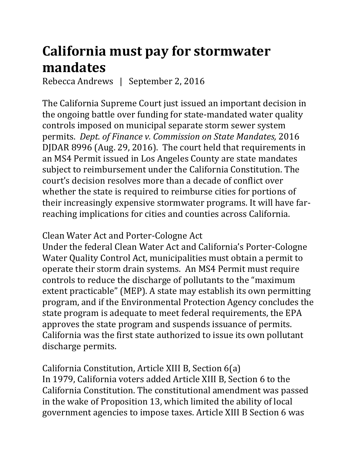## **California must pay for stormwater mandates**

Rebecca Andrews | September 2, 2016

The California Supreme Court just issued an important decision in the ongoing battle over funding for state-mandated water quality controls imposed on municipal separate storm sewer system permits. *Dept. of Finance v. Commission on State Mandates,* 2016 DJDAR 8996 (Aug. 29, 2016). The court held that requirements in an MS4 Permit issued in Los Angeles County are state mandates subject to reimbursement under the California Constitution. The court's decision resolves more than a decade of conflict over whether the state is required to reimburse cities for portions of their increasingly expensive stormwater programs. It will have farreaching implications for cities and counties across California.

Clean Water Act and Porter-Cologne Act

Under the federal Clean Water Act and California's Porter-Cologne Water Quality Control Act, municipalities must obtain a permit to operate their storm drain systems. An MS4 Permit must require controls to reduce the discharge of pollutants to the "maximum extent practicable" (MEP). A state may establish its own permitting program, and if the Environmental Protection Agency concludes the state program is adequate to meet federal requirements, the EPA approves the state program and suspends issuance of permits. California was the first state authorized to issue its own pollutant discharge permits.

California Constitution, Article XIII B, Section 6(a) In 1979, California voters added Article XIII B, Section 6 to the California Constitution. The constitutional amendment was passed in the wake of Proposition 13, which limited the ability of local government agencies to impose taxes. Article XIII B Section 6 was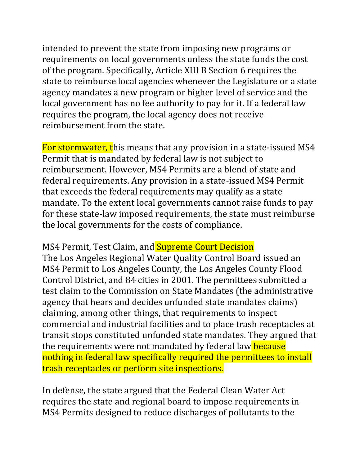intended to prevent the state from imposing new programs or requirements on local governments unless the state funds the cost of the program. Specifically, Article XIII B Section 6 requires the state to reimburse local agencies whenever the Legislature or a state agency mandates a new program or higher level of service and the local government has no fee authority to pay for it. If a federal law requires the program, the local agency does not receive reimbursement from the state.

For stormwater, this means that any provision in a state-issued MS4 Permit that is mandated by federal law is not subject to reimbursement. However, MS4 Permits are a blend of state and federal requirements. Any provision in a state-issued MS4 Permit that exceeds the federal requirements may qualify as a state mandate. To the extent local governments cannot raise funds to pay for these state-law imposed requirements, the state must reimburse the local governments for the costs of compliance.

MS4 Permit, Test Claim, and Supreme Court Decision The Los Angeles Regional Water Quality Control Board issued an MS4 Permit to Los Angeles County, the Los Angeles County Flood Control District, and 84 cities in 2001. The permittees submitted a test claim to the Commission on State Mandates (the administrative agency that hears and decides unfunded state mandates claims) claiming, among other things, that requirements to inspect commercial and industrial facilities and to place trash receptacles at transit stops constituted unfunded state mandates. They argued that the requirements were not mandated by federal law **because** nothing in federal law specifically required the permittees to install trash receptacles or perform site inspections.

In defense, the state argued that the Federal Clean Water Act requires the state and regional board to impose requirements in MS4 Permits designed to reduce discharges of pollutants to the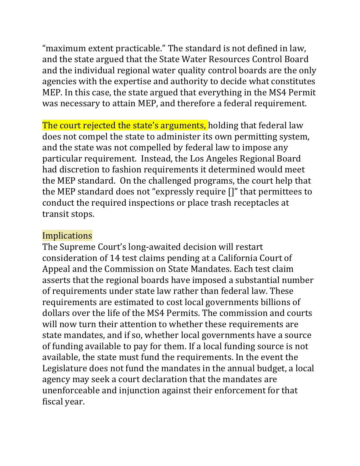"maximum extent practicable." The standard is not defined in law, and the state argued that the State Water Resources Control Board and the individual regional water quality control boards are the only agencies with the expertise and authority to decide what constitutes MEP. In this case, the state argued that everything in the MS4 Permit was necessary to attain MEP, and therefore a federal requirement.

The court rejected the state's arguments, holding that federal law does not compel the state to administer its own permitting system, and the state was not compelled by federal law to impose any particular requirement. Instead, the Los Angeles Regional Board had discretion to fashion requirements it determined would meet the MEP standard. On the challenged programs, the court help that the MEP standard does not "expressly require []" that permittees to conduct the required inspections or place trash receptacles at transit stops.

## Implications

The Supreme Court's long-awaited decision will restart consideration of 14 test claims pending at a California Court of Appeal and the Commission on State Mandates. Each test claim asserts that the regional boards have imposed a substantial number of requirements under state law rather than federal law. These requirements are estimated to cost local governments billions of dollars over the life of the MS4 Permits. The commission and courts will now turn their attention to whether these requirements are state mandates, and if so, whether local governments have a source of funding available to pay for them. If a local funding source is not available, the state must fund the requirements. In the event the Legislature does not fund the mandates in the annual budget, a local agency may seek a court declaration that the mandates are unenforceable and injunction against their enforcement for that fiscal year.